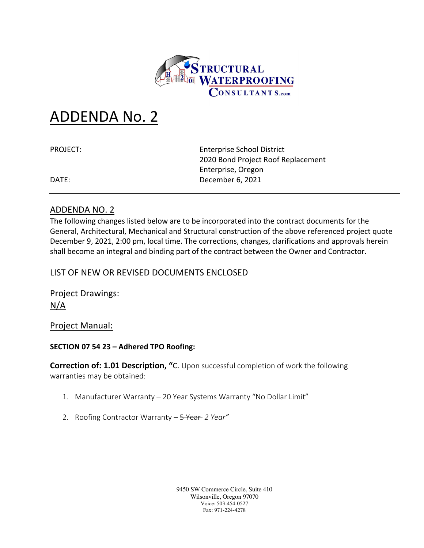

# ADDENDA No. 2

PROJECT: Enterprise School District 2020 Bond Project Roof Replacement Enterprise, Oregon DATE: December 6, 2021

## ADDENDA NO. 2

The following changes listed below are to be incorporated into the contract documents for the General, Architectural, Mechanical and Structural construction of the above referenced project quote December 9, 2021, 2:00 pm, local time. The corrections, changes, clarifications and approvals herein shall become an integral and binding part of the contract between the Owner and Contractor.

# LIST OF NEW OR REVISED DOCUMENTS ENCLOSED

Project Drawings: N/A

Project Manual:

## **SECTION 07 54 23 – Adhered TPO Roofing:**

**Correction of: 1.01 Description, "**C. Upon successful completion of work the following warranties may be obtained:

- 1. Manufacturer Warranty 20 Year Systems Warranty "No Dollar Limit"
- 2. Roofing Contractor Warranty 5 Year *2 Year"*

9450 SW Commerce Circle, Suite 410 Wilsonville, Oregon 97070 Voice: 503-454-0527 Fax: 971-224-4278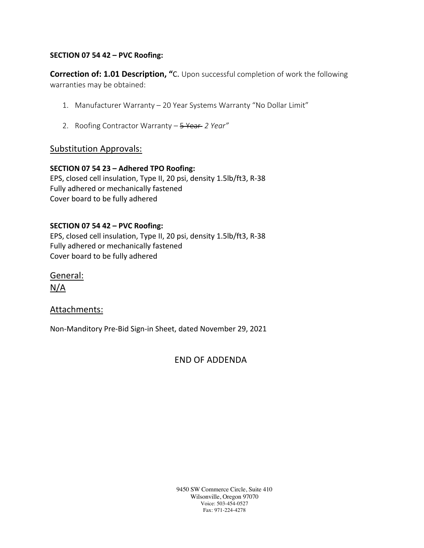## **SECTION 07 54 42 – PVC Roofing:**

**Correction of: 1.01 Description, "**C. Upon successful completion of work the following warranties may be obtained:

- 1. Manufacturer Warranty 20 Year Systems Warranty "No Dollar Limit"
- 2. Roofing Contractor Warranty 5 Year *2 Year"*

## Substitution Approvals:

#### **SECTION 07 54 23 – Adhered TPO Roofing:**

EPS, closed cell insulation, Type II, 20 psi, density 1.5lb/ft3, R-38 Fully adhered or mechanically fastened Cover board to be fully adhered

#### **SECTION 07 54 42 – PVC Roofing:**

EPS, closed cell insulation, Type II, 20 psi, density 1.5lb/ft3, R-38 Fully adhered or mechanically fastened Cover board to be fully adhered

General: N/A

## Attachments:

Non-Manditory Pre-Bid Sign-in Sheet, dated November 29, 2021

END OF ADDENDA

9450 SW Commerce Circle, Suite 410 Wilsonville, Oregon 97070 Voice: 503-454-0527 Fax: 971-224-4278